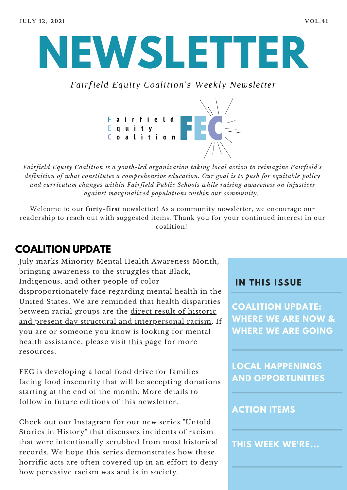

*Fairfield Equity Coalition's Weekly Newsletter*



*Fairfield Equity Coalition is a youth-led organization taking local action to reimagine Fairfield's definition of what constitutes a comprehensive education. Our goal is to push for equitable policy and curriculum changes within Fairfield Public Schools while raising awareness on injustices against marginalized populations within our community.*

Welcome to our **forty-first** newsletter! As a community newsletter, we encourage our readership to reach out with suggested items. Thank you for your continued interest in our coalition!

# **COALITION UPDATE**

July marks Minority Mental Health Awareness Month, bringing awareness to the struggles that Black, Indigenous, and other people of color disproportionately face regarding mental health in the United States. We are reminded that health disparities between racial groups are the direct result of historic and present day structural and [interpersonal](https://www.heart.org/en/news/2020/11/10/structural-racism-is-a-driver-of-health-disparities-report-declares) racism. If you are or someone you know is looking for mental health assistance, please visit this [page](https://www.nami.org/Your-Journey/Individuals-with-Mental-Illness) for more resources.

FEC is developing a local food drive for families facing food insecurity that will be accepting donations starting at the end of the month. More details to follow in future editions of this newsletter.

Check out our [Instagram](https://www.instagram.com/fairfieldequitycoalition/?hl=en) for our new series "Untold Stories in History" that discusses incidents of racism that were intentionally scrubbed from most historical records. We hope this series demonstrates how these horrific acts are often covered up in an effort to deny how pervasive racism was and is in society.

#### **I N THIS ISSUE**

**COALITION UPDATE: WHERE WE ARE NOW & WHERE WE ARE GOING**

**LOCAL HAPPENINGS AND OPPORTUNITIES**

#### **ACTION ITEMS**

**THIS WEEK WE'RE...**